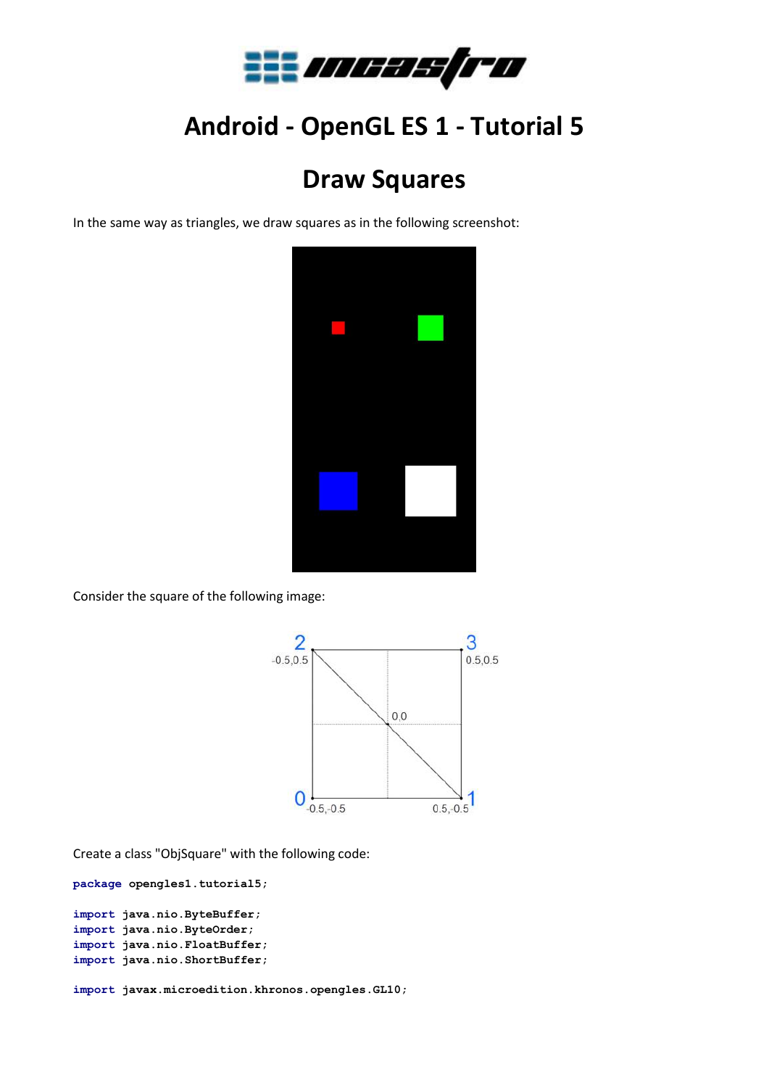

## **Android - OpenGL ES 1 - Tutorial 5**

## **Draw Squares**

In the same way as triangles, we draw squares as in the following screenshot:



Consider the square of the following image:



Create a class "ObjSquare" with the following code:

**package opengles1.tutorial5;**

```
import java.nio.ByteBuffer;
import java.nio.ByteOrder;
import java.nio.FloatBuffer;
import java.nio.ShortBuffer;
```
**import javax.microedition.khronos.opengles.GL10;**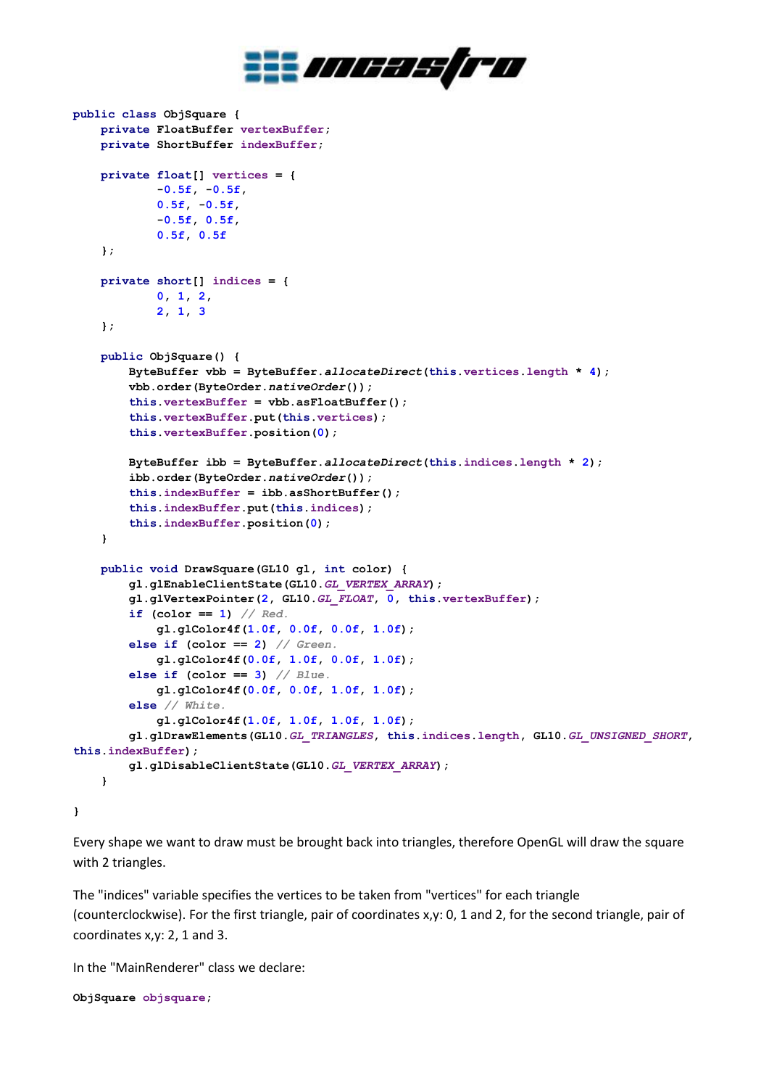

```
public class ObjSquare {
     private FloatBuffer vertexBuffer;
     private ShortBuffer indexBuffer;
     private float[] vertices = {
             -0.5f, -0.5f,
             0.5f, -0.5f,
             -0.5f, 0.5f,
             0.5f, 0.5f
     };
     private short[] indices = {
             0, 1, 2,
             2, 1, 3
     };
     public ObjSquare() {
         ByteBuffer vbb = ByteBuffer.allocateDirect(this.vertices.length * 4);
         vbb.order(ByteOrder.nativeOrder());
         this.vertexBuffer = vbb.asFloatBuffer();
         this.vertexBuffer.put(this.vertices);
         this.vertexBuffer.position(0);
         ByteBuffer ibb = ByteBuffer.allocateDirect(this.indices.length * 2);
         ibb.order(ByteOrder.nativeOrder());
         this.indexBuffer = ibb.asShortBuffer();
         this.indexBuffer.put(this.indices);
         this.indexBuffer.position(0);
     }
     public void DrawSquare(GL10 gl, int color) {
         gl.glEnableClientState(GL10.GL_VERTEX_ARRAY);
         gl.glVertexPointer(2, GL10.GL_FLOAT, 0, this.vertexBuffer);
         if (color == 1) // Red.
             gl.glColor4f(1.0f, 0.0f, 0.0f, 1.0f);
         else if (color == 2) // Green.
             gl.glColor4f(0.0f, 1.0f, 0.0f, 1.0f);
         else if (color == 3) // Blue.
             gl.glColor4f(0.0f, 0.0f, 1.0f, 1.0f);
         else // White.
             gl.glColor4f(1.0f, 1.0f, 1.0f, 1.0f);
         gl.glDrawElements(GL10.GL_TRIANGLES, this.indices.length, GL10.GL_UNSIGNED_SHORT, 
this.indexBuffer);
         gl.glDisableClientState(GL10.GL_VERTEX_ARRAY);
     }
}
```
Every shape we want to draw must be brought back into triangles, therefore OpenGL will draw the square with 2 triangles.

The "indices" variable specifies the vertices to be taken from "vertices" for each triangle (counterclockwise). For the first triangle, pair of coordinates x,y: 0, 1 and 2, for the second triangle, pair of coordinates x,y: 2, 1 and 3.

In the "MainRenderer" class we declare:

**ObjSquare objsquare;**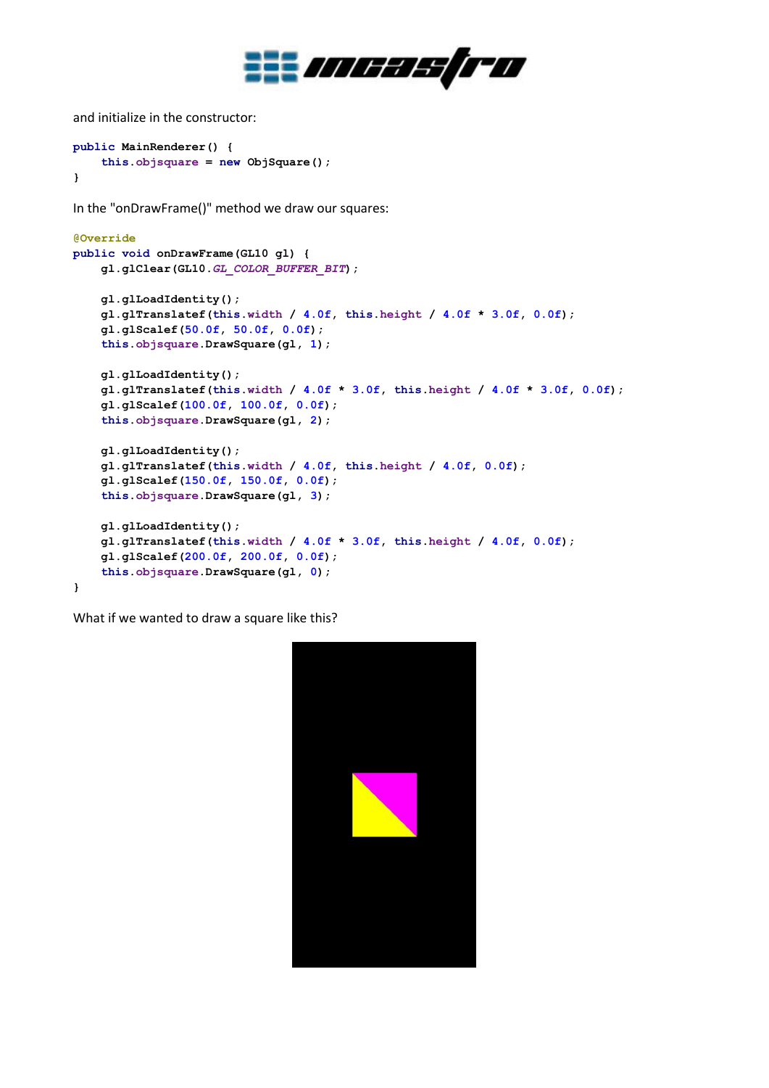

and initialize in the constructor:

```
public MainRenderer() {
     this.objsquare = new ObjSquare();
}
```
In the "onDrawFrame()" method we draw our squares:

```
@Override
public void onDrawFrame(GL10 gl) {
     gl.glClear(GL10.GL_COLOR_BUFFER_BIT);
     gl.glLoadIdentity();
     gl.glTranslatef(this.width / 4.0f, this.height / 4.0f * 3.0f, 0.0f);
     gl.glScalef(50.0f, 50.0f, 0.0f);
     this.objsquare.DrawSquare(gl, 1);
     gl.glLoadIdentity();
     gl.glTranslatef(this.width / 4.0f * 3.0f, this.height / 4.0f * 3.0f, 0.0f);
     gl.glScalef(100.0f, 100.0f, 0.0f);
     this.objsquare.DrawSquare(gl, 2);
     gl.glLoadIdentity();
     gl.glTranslatef(this.width / 4.0f, this.height / 4.0f, 0.0f);
     gl.glScalef(150.0f, 150.0f, 0.0f);
     this.objsquare.DrawSquare(gl, 3);
     gl.glLoadIdentity();
     gl.glTranslatef(this.width / 4.0f * 3.0f, this.height / 4.0f, 0.0f);
     gl.glScalef(200.0f, 200.0f, 0.0f);
     this.objsquare.DrawSquare(gl, 0);
}
```
What if we wanted to draw a square like this?

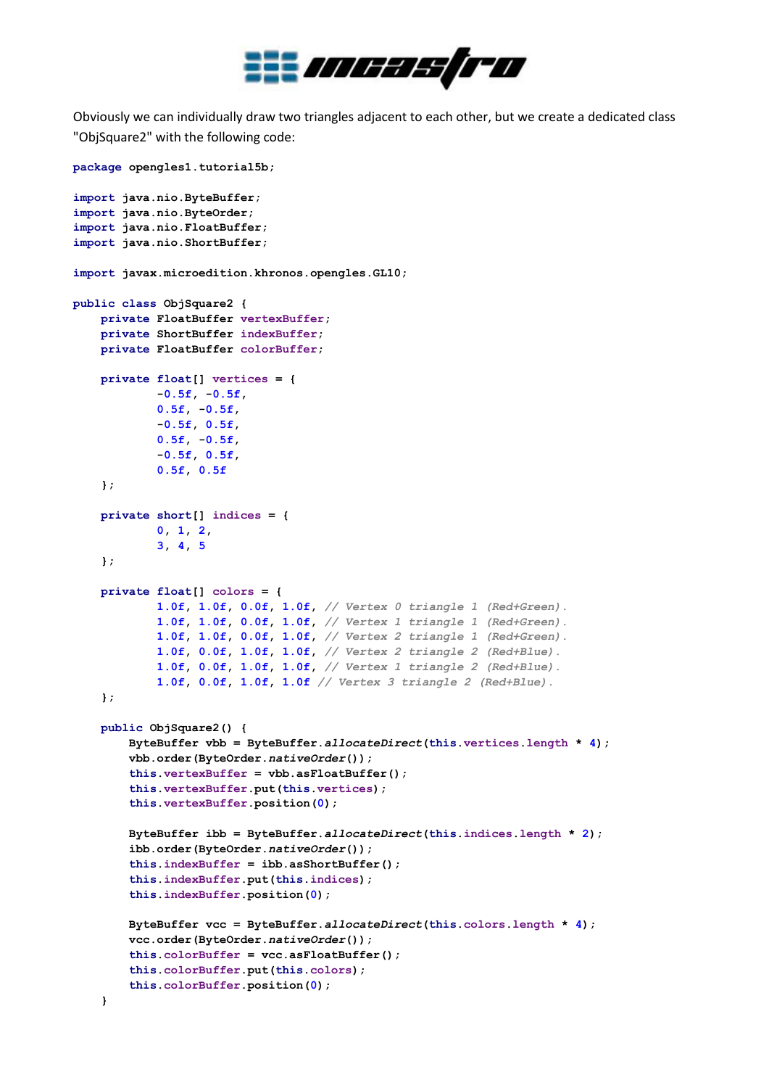

Obviously we can individually draw two triangles adjacent to each other, but we create a dedicated class "ObjSquare2" with the following code:

```
package opengles1.tutorial5b;
import java.nio.ByteBuffer;
import java.nio.ByteOrder;
import java.nio.FloatBuffer;
import java.nio.ShortBuffer;
import javax.microedition.khronos.opengles.GL10;
public class ObjSquare2 {
     private FloatBuffer vertexBuffer;
     private ShortBuffer indexBuffer;
     private FloatBuffer colorBuffer;
     private float[] vertices = {
             -0.5f, -0.5f,
             0.5f, -0.5f,
             -0.5f, 0.5f,
             0.5f, -0.5f,
             -0.5f, 0.5f,
             0.5f, 0.5f
     };
     private short[] indices = {
             0, 1, 2,
             3, 4, 5
     };
     private float[] colors = {
             1.0f, 1.0f, 0.0f, 1.0f, // Vertex 0 triangle 1 (Red+Green).
             1.0f, 1.0f, 0.0f, 1.0f, // Vertex 1 triangle 1 (Red+Green).
             1.0f, 1.0f, 0.0f, 1.0f, // Vertex 2 triangle 1 (Red+Green).
             1.0f, 0.0f, 1.0f, 1.0f, // Vertex 2 triangle 2 (Red+Blue).
             1.0f, 0.0f, 1.0f, 1.0f, // Vertex 1 triangle 2 (Red+Blue).
             1.0f, 0.0f, 1.0f, 1.0f // Vertex 3 triangle 2 (Red+Blue).
     };
     public ObjSquare2() {
         ByteBuffer vbb = ByteBuffer.allocateDirect(this.vertices.length * 4);
         vbb.order(ByteOrder.nativeOrder());
         this.vertexBuffer = vbb.asFloatBuffer();
         this.vertexBuffer.put(this.vertices);
         this.vertexBuffer.position(0);
         ByteBuffer ibb = ByteBuffer.allocateDirect(this.indices.length * 2);
         ibb.order(ByteOrder.nativeOrder());
         this.indexBuffer = ibb.asShortBuffer();
         this.indexBuffer.put(this.indices);
         this.indexBuffer.position(0);
         ByteBuffer vcc = ByteBuffer.allocateDirect(this.colors.length * 4);
         vcc.order(ByteOrder.nativeOrder());
         this.colorBuffer = vcc.asFloatBuffer();
         this.colorBuffer.put(this.colors);
         this.colorBuffer.position(0);
     }
```